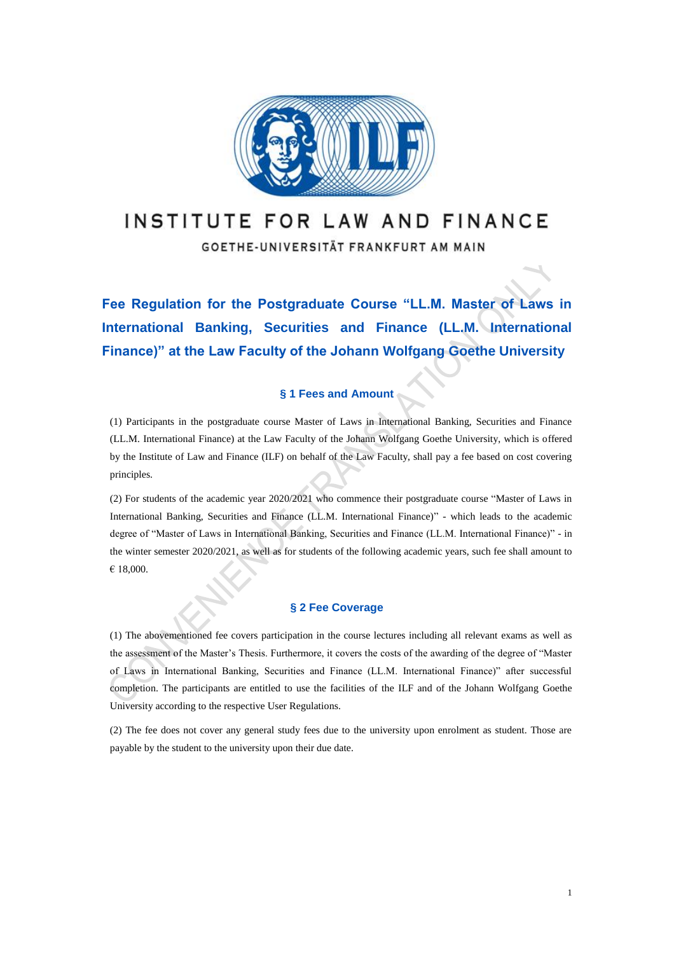

## INSTITUTE FOR LAW AND FINANCE

GOETHE-UNIVERSITÄT FRANKFURT AM MAIN

**Fee Regulation for the Postgraduate Course "LL.M. Master of Laws in International Banking, Securities and Finance (LL.M. International Finance)" at the Law Faculty of the Johann Wolfgang Goethe University**

## **§ 1 Fees and Amount**

(1) Participants in the postgraduate course Master of Laws in International Banking, Securities and Finance (LL.M. International Finance) at the Law Faculty of the Johann Wolfgang Goethe University, which is offered by the Institute of Law and Finance (ILF) on behalf of the Law Faculty, shall pay a fee based on cost covering principles.

(2) For students of the academic year 2020/2021 who commence their postgraduate course "Master of Laws in International Banking, Securities and Finance (LL.M. International Finance)" - which leads to the academic degree of "Master of Laws in International Banking, Securities and Finance (LL.M. International Finance)" - in the winter semester 2020/2021, as well as for students of the following academic years, such fee shall amount to € 18,000.

#### **§ 2 Fee Coverage**

(1) The abovementioned fee covers participation in the course lectures including all relevant exams as well as the assessment of the Master's Thesis. Furthermore, it covers the costs of the awarding of the degree of "Master of Laws in International Banking, Securities and Finance (LL.M. International Finance)" after successful completion. The participants are entitled to use the facilities of the ILF and of the Johann Wolfgang Goethe University according to the respective User Regulations.

(2) The fee does not cover any general study fees due to the university upon enrolment as student. Those are payable by the student to the university upon their due date.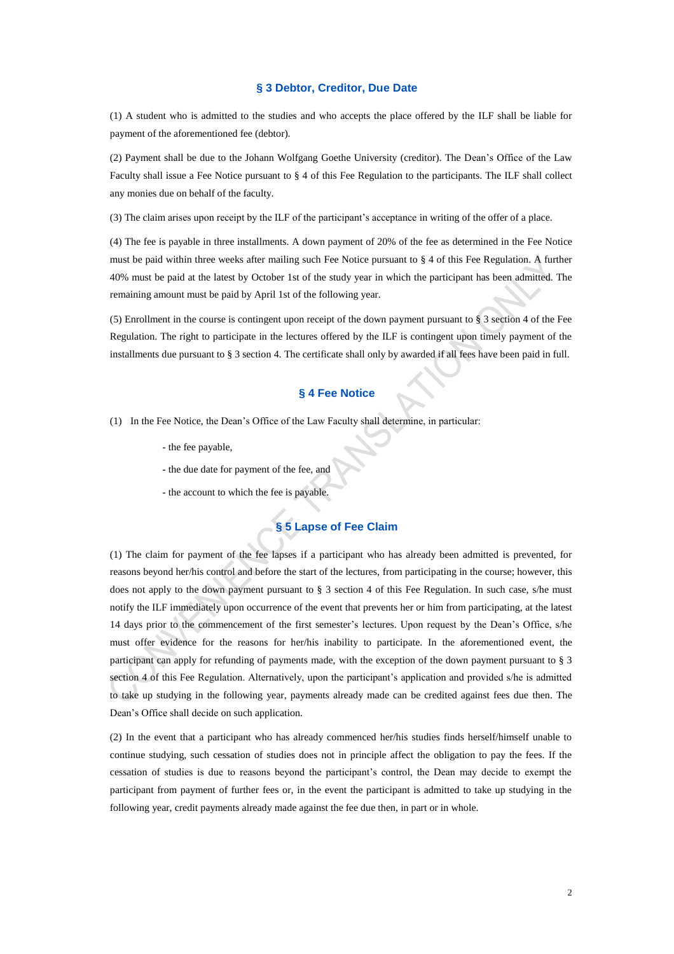#### **§ 3 Debtor, Creditor, Due Date**

(1) A student who is admitted to the studies and who accepts the place offered by the ILF shall be liable for payment of the aforementioned fee (debtor).

(2) Payment shall be due to the Johann Wolfgang Goethe University (creditor). The Dean's Office of the Law Faculty shall issue a Fee Notice pursuant to § 4 of this Fee Regulation to the participants. The ILF shall collect any monies due on behalf of the faculty.

(3) The claim arises upon receipt by the ILF of the participant's acceptance in writing of the offer of a place.

(4) The fee is payable in three installments. A down payment of 20% of the fee as determined in the Fee Notice must be paid within three weeks after mailing such Fee Notice pursuant to § 4 of this Fee Regulation. A further 40% must be paid at the latest by October 1st of the study year in which the participant has been admitted. The remaining amount must be paid by April 1st of the following year.

(5) Enrollment in the course is contingent upon receipt of the down payment pursuant to § 3 section 4 of the Fee Regulation. The right to participate in the lectures offered by the ILF is contingent upon timely payment of the installments due pursuant to § 3 section 4. The certificate shall only by awarded if all fees have been paid in full.

### **§ 4 Fee Notice**

- (1) In the Fee Notice, the Dean's Office of the Law Faculty shall determine, in particular:
	- the fee payable,
	- the due date for payment of the fee, and
	- the account to which the fee is payable.

# **§ 5 Lapse of Fee Claim**

(1) The claim for payment of the fee lapses if a participant who has already been admitted is prevented, for reasons beyond her/his control and before the start of the lectures, from participating in the course; however, this does not apply to the down payment pursuant to § 3 section 4 of this Fee Regulation. In such case, s/he must notify the ILF immediately upon occurrence of the event that prevents her or him from participating, at the latest 14 days prior to the commencement of the first semester's lectures. Upon request by the Dean's Office, s/he must offer evidence for the reasons for her/his inability to participate. In the aforementioned event, the participant can apply for refunding of payments made, with the exception of the down payment pursuant to § 3 section 4 of this Fee Regulation. Alternatively, upon the participant's application and provided s/he is admitted to take up studying in the following year, payments already made can be credited against fees due then. The Dean's Office shall decide on such application.

(2) In the event that a participant who has already commenced her/his studies finds herself/himself unable to continue studying, such cessation of studies does not in principle affect the obligation to pay the fees. If the cessation of studies is due to reasons beyond the participant's control, the Dean may decide to exempt the participant from payment of further fees or, in the event the participant is admitted to take up studying in the following year, credit payments already made against the fee due then, in part or in whole.